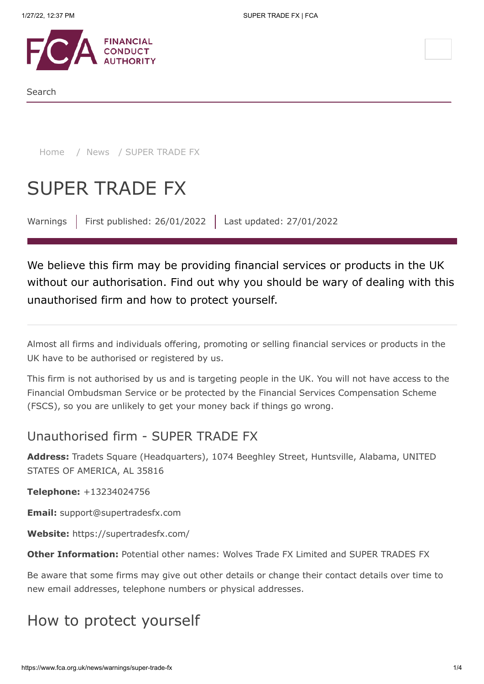

Search

[Home](https://www.fca.org.uk/) / [News](https://www.fca.org.uk/news) / SUPER TRADE FX

# SUPER TRADE FX

Warnings | First published: 26/01/2022 | Last updated: 27/01/2022

We believe this firm may be providing financial services or products in the UK without our authorisation. Find out why you should be wary of dealing with this unauthorised firm and how to protect yourself.

Almost all firms and individuals offering, promoting or selling financial services or products in the UK have to be authorised or registered by us.

This firm is not authorised by us and is targeting people in the UK. You will not have access to the Financial Ombudsman Service or be protected by the Financial Services Compensation Scheme (FSCS), so you are unlikely to get your money back if things go wrong.

### Unauthorised firm - SUPER TRADE FX

**Address:** Tradets Square (Headquarters), 1074 Beeghley Street, Huntsville, Alabama, UNITED STATES OF AMERICA, AL 35816

**Telephone:** +13234024756

**Email:** support@supertradesfx.com

**Website:** https://supertradesfx.com/

**Other Information:** Potential other names: Wolves Trade FX Limited and SUPER TRADES FX

Be aware that some firms may give out other details or change their contact details over time to new email addresses, telephone numbers or physical addresses.

## How to protect yourself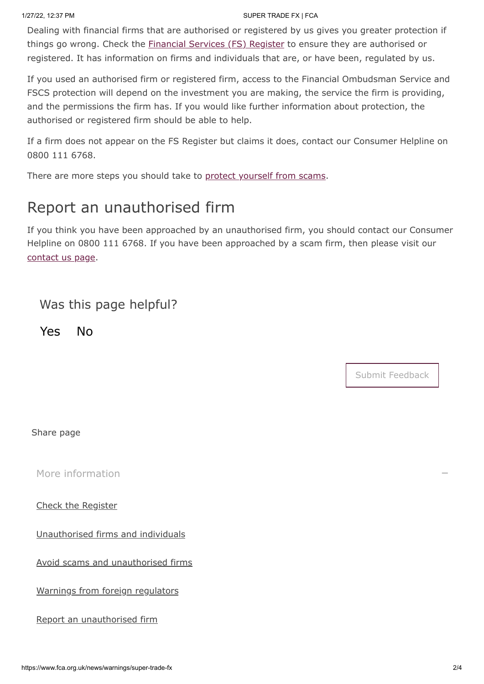#### 1/27/22, 12:37 PM SUPER TRADE FX | FCA

Dealing with financial firms that are authorised or registered by us gives you greater protection if things go wrong. Check the **Financial Services** (FS) Register to ensure they are authorised or registered. It has information on firms and individuals that are, or have been, regulated by us.

If you used an authorised firm or registered firm, access to the Financial Ombudsman Service and FSCS protection will depend on the investment you are making, the service the firm is providing, and the permissions the firm has. If you would like further information about protection, the authorised or registered firm should be able to help.

If a firm does not appear on the FS Register but claims it does, contact our Consumer Helpline on 0800 111 6768.

There are more steps you should take to [protect yourself from scams](https://www.fca.org.uk/consumers/avoid-scams-unauthorised-firms).

# Report an unauthorised firm

If you think you have been approached by an unauthorised firm, you should contact our Consumer Helpline on 0800 111 6768. If you have been approached by a scam firm, then please visit our [contact us page.](https://www.fca.org.uk/contact)

### Was this page helpful?

Yes No

Submit Feedback

Share page

[More information](#page-1-0)

<span id="page-1-0"></span>[Check the Register](https://register.fca.org.uk/)

[Unauthorised firms and individuals](https://www.fca.org.uk/consumers/unauthorised-firms-individuals)

[Avoid scams and unauthorised firms](https://www.fca.org.uk/consumers/avoid-scams-unauthorised-firms)

[Warnings from foreign regulators](https://www.iosco.org/investor_protection/?subsection=investor_alerts_portal)

[Report an unauthorised firm](https://www.fca.org.uk/consumers/report-scam-unauthorised-firm)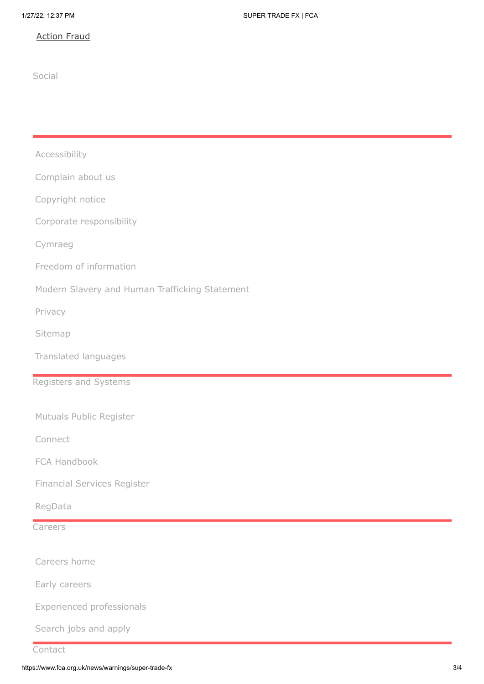### [Action Fraud](https://www.fca.org.uk/consumers/report-scam-unauthorised-firm)

Social

| Accessibility                                  |  |
|------------------------------------------------|--|
| Complain about us                              |  |
| Copyright notice                               |  |
| Corporate responsibility                       |  |
| Cymraeg                                        |  |
| Freedom of information                         |  |
| Modern Slavery and Human Trafficking Statement |  |
| Privacy                                        |  |
| Sitemap                                        |  |
| Translated languages                           |  |
| Registers and Systems                          |  |
|                                                |  |
| Mutuals Public Register                        |  |
| Connect                                        |  |
| FCA Handbook                                   |  |
| Financial Services Register                    |  |
| RegData                                        |  |
| Careers                                        |  |
| Careers home                                   |  |
|                                                |  |
| Early careers                                  |  |
| Experienced professionals                      |  |
| Search jobs and apply                          |  |
| Contact                                        |  |